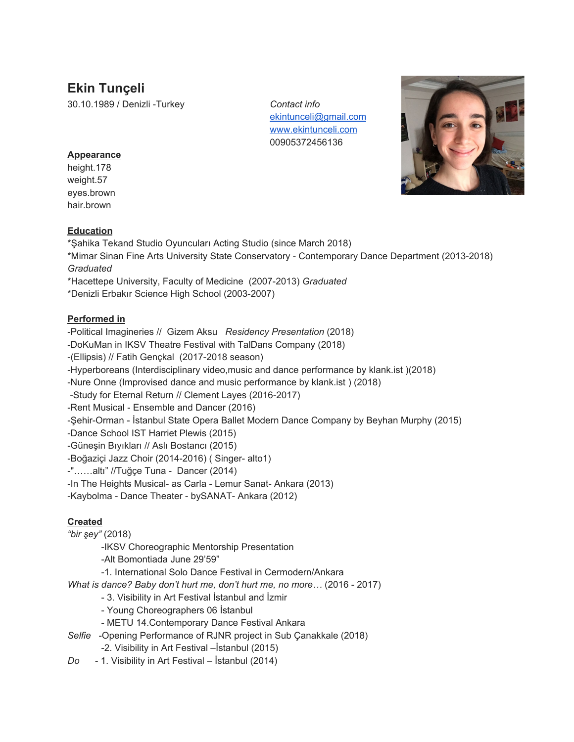# **Ekin Tunçeli**

30.10.1989 / Denizli -Turkey *Contact info*

[ekintunceli@gmail.com](mailto:ekintunceli@gmail.com) [www.ekintunceli.com](http://www.ekintunceli.com/) 00905372456136



### **Appearance**

height.178 weight.57 eyes.brown hair.brown

### **Education**

\*Şahika Tekand Studio Oyuncuları Acting Studio (since March 2018)

\*Mimar Sinan Fine Arts University State Conservatory - Contemporary Dance Department (2013-2018) *Graduated*

\*Hacettepe University, Faculty of Medicine (2007-2013) *Graduated*

\*Denizli Erbakır Science High School (2003-2007)

### **Performed in**

-Political Imagineries // Gizem Aksu *Residency Presentation* (2018)

-DoKuMan in IKSV Theatre Festival with TalDans Company (2018)

-(Ellipsis) // Fatih Gençkal (2017-2018 season)

-Hyperboreans (Interdisciplinary video,music and dance performance by klank.ist )(2018)

-Nure Onne (Improvised dance and music performance by klank.ist ) (2018)

-Study for Eternal Return // Clement Layes (2016-2017)

-Rent Musical - Ensemble and Dancer (2016)

-Şehir-Orman - İstanbul State Opera Ballet Modern Dance Company by Beyhan Murphy (2015)

-Dance School IST Harriet Plewis (2015)

-Güneşin Bıyıkları // Aslı Bostancı (2015)

-Boğaziçi Jazz Choir (2014-2016) ( Singer- alto1)

-"……altı" //Tuğçe Tuna - Dancer (2014)

-In The Heights Musical- as Carla - Lemur Sanat- Ankara (2013)

-Kaybolma - Dance Theater - bySANAT- Ankara (2012)

## **Created**

*"bir şey"* (2018)

-IKSV Choreographic Mentorship Presentation

-Alt Bomontiada June 29'59"

-1. International Solo Dance Festival in Cermodern/Ankara

*What is dance? Baby don't hurt me, don't hurt me, no more…* (2016 - 2017)

- 3. Visibility in Art Festival İstanbul and İzmir
- Young Choreographers 06 İstanbul
- METU 14.Contemporary Dance Festival Ankara
- *Selfie* -Opening Performance of RJNR project in Sub Çanakkale (2018)
	- -2. Visibility in Art Festival –İstanbul (2015)
- *Do* 1. Visibility in Art Festival İstanbul (2014)